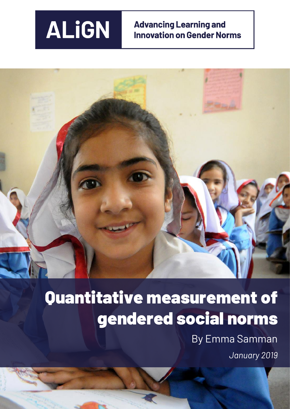

# Quantitative measurement of gendered social norms

By Emma Samman *January 2019*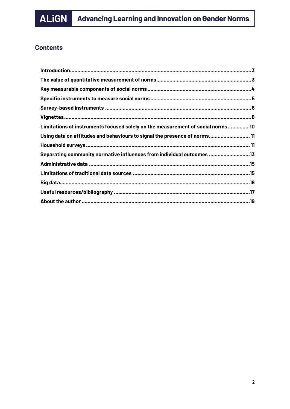

# **Contents**

| Limitations of instruments focused solely on the measurement of social norms 10 |  |
|---------------------------------------------------------------------------------|--|
| Using data on attitudes and behaviours to signal the presence of norms 11       |  |
|                                                                                 |  |
| Separating community normative influences from individual outcomes 13           |  |
|                                                                                 |  |
|                                                                                 |  |
|                                                                                 |  |
|                                                                                 |  |
|                                                                                 |  |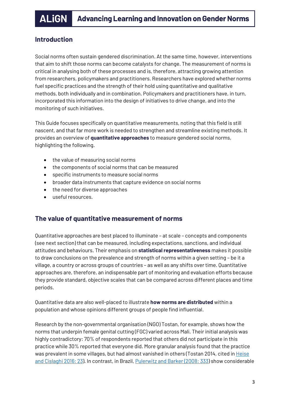# <span id="page-2-0"></span>**Introduction**

Social norms often sustain gendered discrimination. At the same time, however, interventions that aim to shift those norms can become catalysts for change. The measurement of norms is critical in analysing both of these processes and is, therefore, attracting growing attention from researchers, policymakers and practitioners. Researchers have explored whether norms fuel specific practices and the strength of their hold using quantitative and qualitative methods, both individually and in combination. Policymakers and practitioners have, in turn, incorporated this information into the design of initiatives to drive change, and into the monitoring of such initiatives.

This Guide focuses specifically on quantitative measurements, noting that this field is still nascent, and that far more work is needed to strengthen and streamline existing methods. It provides an overview of **quantitative approaches** to measure gendered social norms, highlighting the following.

- the value of measuring social norms
- the components of social norms that can be measured
- specific instruments to measure social norms
- broader data instruments that capture evidence on social norms
- the need for diverse approaches
- useful resources.

# <span id="page-2-1"></span>**The value of quantitative measurement of norms**

Quantitative approaches are best placed to illuminate – at scale – concepts and components (see next section) that can be measured, including expectations, sanctions, and individual attitudes and behaviours. Their emphasis on **statistical representativeness** makes it possible to draw conclusions on the prevalence and strength of norms within a given setting – be it a village, a country or across groups of countries – as well as any shifts over time. Quantitative approaches are, therefore, an indispensable part of monitoring and evaluation efforts because they provide standard, objective scales that can be compared across different places and time periods.

Quantitative data are also well-placed to illustrate **how norms are distributed** within a population and whose opinions different groups of people find influential.

Research by the non-governmental organisation (NGO) Tostan, for example, shows how the norms that underpin female genital cutting (FGC) varied across Mali. Their initial analysis was highly contradictory: 70% of respondents reported that others did not participate in this practice while 30% reported that everyone did. More granular analysis found that the practice was prevalent in some villages, but had almost vanished in others (Tostan 2014, cited i[n Heise](http://researchonline.lshtm.ac.uk/4646486/1/Baltimore%20norms%20meeting%20report.pdf)  [and Cislaghi 2016: 23\)](http://researchonline.lshtm.ac.uk/4646486/1/Baltimore%20norms%20meeting%20report.pdf). In contrast, in Brazil, Pulerwitz and [Barker \(2008: 333\)](https://journals.sagepub.com/doi/10.1177/1097184X06298778) show considerable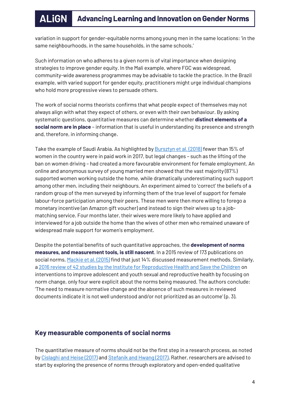variation in support for gender-equitable norms among young men in the same locations: 'in the same neighbourhoods, in the same households, in the same schools.'

Such information on who adheres to a given norm is of vital importance when designing strategies to improve gender equity. In the Mali example, where FGC was widespread, community-wide awareness programmes may be advisable to tackle the practice. In the Brazil example, with varied support for gender equity, practitioners might urge individual champions who hold more progressive views to persuade others.

The work of social norms theorists confirms that what people expect of themselves may not always align with what they expect of others, or even with their own behaviour. By asking systematic questions, quantitative measures can determine whether **distinct elements of a social norm are in place** – information that is useful in understanding its presence and strength and, therefore, in informing change.

Take the example of Saudi Arabia. As highlighted b[y Bursztyn et al. \(2018\)](https://www.nber.org/papers/w24736) fewer than 15% of women in the country were in paid work in 2017, but legal changes – such as the lifting of the ban on women driving – had created a more favourable environment for female employment. An online and anonymous survey of young married men showed that the vast majority (87%) supported women working outside the home, while dramatically underestimating such support among other men, including their neighbours. An experiment aimed to 'correct' the beliefs of a random group of the men surveyed by informing them of the true level of support for female labour-force participation among their peers. These men were then more willing to forego a monetary incentive (an Amazon gift voucher) and instead to sign their wives up to a jobmatching service. Four months later, their wives were more likely to have applied and interviewed for a job outside the home than the wives of other men who remained unaware of widespread male support for women's employment.

Despite the potential benefits of such quantitative approaches, the **development of norms measures, and measurement tools, is still nascent**. In a 2015 review of 173 publications on social norms[, Mackie](https://www.unicef.org/protection/files/4_09_30_Whole_What_are_Social_Norms.pdf) et al. (2015) find that just 14% discussed measurement methods. Similarly, a 2016 [review of 42 studies by the Institute for Reproductive Health and Save the Children](http://irh.org/resource-library/lit-review-scaling-up-aysrh-normative-change-interventions/) on interventions to improve adolescent and youth sexual and reproductive health by focusing on norm change, only four were explicit about the norms being measured. The authors conclude: 'The need to measure normative change and the absence of such measures in reviewed documents indicate it is not well understood and/or not prioritized as an outcome' (p. 3).

# <span id="page-3-0"></span>**Key measurable components of social norms**

The quantitative measure of norms should not be the first step in a research process, as noted b[y Cislaghi and Heise](http://researchonline.lshtm.ac.uk/4646477/) (2017) an[d Stefanik and](http://gender.care2share.wikispaces.net/file/view/care-social-norms-paper-web.pdf) Hwang (2017). Rather, researchers are advised to start by exploring the presence of norms through exploratory and open-ended qualitative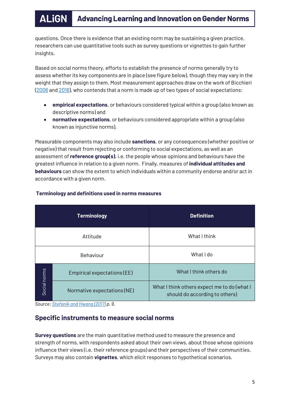questions. Once there is evidence that an existing norm may be sustaining a given practice, researchers can use quantitative tools such as survey questions or vignettes to gain further insights.

Based on social norms theory, efforts to establish the presence of norms generally try to assess whether its key components are in place (see figure below), though they may vary in the weight that they assign to them. Most measurement approaches draw on the work of Bicchieri [\(2006](https://www.cambridge.org/gb/academic/subjects/philosophy/political-philosophy/grammar-society-nature-and-dynamics-social-norms?format=HB&isbn=9780521573726) and [2016\)](http://irh.org/wp-content/uploads/2016/09/Bicchieri_MeasuringSocialNorms.pdf), who contends that a norm is made up of two types of social expectations:

- **empirical expectations**, or behaviours considered typical within a group (also known as descriptive norms) and
- **normative expectations**, or behaviours considered appropriate within a group (also known as injunctive norms).

Measurable components may also include **sanctions**, or any consequences (whether positive or negative) that result from rejecting or conforming to social expectations, as well as an assessment of **reference group(s)**, i.e. the people whose opinions and behaviours have the greatest influence in relation to a given norm. Finally, measures of **individual attitudes and behaviours** can show the extent to which individuals within a community endorse and/or act in accordance with a given norm.

| <b>Terminology</b> |                             | <b>Definition</b>                                                             |  |
|--------------------|-----------------------------|-------------------------------------------------------------------------------|--|
| Attitude           |                             | What I think                                                                  |  |
|                    | Behaviour                   | What I do                                                                     |  |
| Social norms       | Empirical expectations (EE) | What I think others do                                                        |  |
|                    | Normative expectations (NE) | What I think others expect me to do (what I<br>should do according to others) |  |

## **Terminology and definitions used in norms measures**

# <span id="page-4-0"></span>**Specific instruments to measure social norms**

**Survey questions** are the main quantitative method used to measure the presence and strength of norms, with respondents asked about their own views, about those whose opinions influence their views (i.e. their reference groups) and their perspectives of their communities. Surveys may also contain **vignettes**, which elicit responses to hypothetical scenarios.

*Source[: Stefanik and](http://gender.care2share.wikispaces.net/file/view/care-social-norms-paper-web.pdf) Hwang (2017) p. 9.*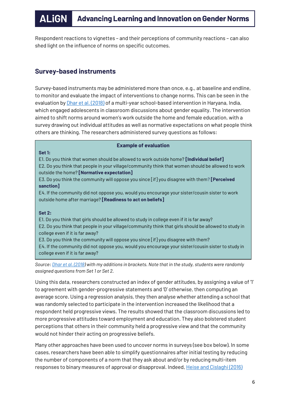Respondent reactions to vignettes – and their perceptions of community reactions – can also shed light on the influence of norms on specific outcomes.

# <span id="page-5-0"></span>**Survey-based instruments**

Survey-based instruments may be administered more than once, e.g., at baseline and endline, to monitor and evaluate the impact of interventions to change norms. This can be seen in the evaluation by *Dhar et al.* (2018) of a multi-year school-based intervention in Haryana, India, which engaged adolescents in classroom discussions about gender equality. The intervention aimed to shift norms around women's work outside the home and female education, with a survey drawing out individual attitudes as well as normative expectations on what people think others are thinking. The researchers administered survey questions as follows:

#### **Example of evaluation**

#### **Set 1:**

E1. Do you think that women should be allowed to work outside home? **[Individual belief]** E2. Do you think that people in your village/community think that women should be allowed to work outside the home? **[Normative expectation]**

E3. Do you think the community will oppose you since [if] you disagree with them? **[Perceived sanction]**

E4. If the community did not oppose you, would you encourage your sister/cousin sister to work outside home after marriage? **[Readiness to act on beliefs]**

#### **Set 2:**

E1. Do you think that girls should be allowed to study in college even if it is far away? E2. Do you think that people in your village/community think that girls should be allowed to study in college even if it is far away?

E3. Do you think the community will oppose you since [if] you disagree with them?

E4. If the community did not oppose you, would you encourage your sister/cousin sister to study in college even if it is far away?

*Source[: Dhar et al.](https://www.tandfonline.com/doi/full/10.1080/00220388.2018.1520214) (2018) with my additions in brackets. Note that in the study, students were randomly assigned questions from Set 1 or Set 2.*

Using this data, researchers constructed an index of gender attitudes, by assigning a value of '1' to agreement with gender-progressive statements and '0' otherwise, then computing an average score. Using a regression analysis, they then analyse whether attending a school that was randomly selected to participate in the intervention increased the likelihood that a respondent held progressive views. The results showed that the classroom discussions led to more progressive attitudes toward employment and education. They also bolstered student perceptions that others in their community held a progressive view and that the community would not hinder their acting on progressive beliefs.

Many other approaches have been used to uncover norms in surveys (see box below). In some cases, researchers have been able to simplify questionnaires after initial testing by reducing the number of components of a norm that they ask about and/or by reducing multi-item responses to binary measures of approval or disapproval. Indeed[, Heise and Cislaghi \(2016\)](http://researchonline.lshtm.ac.uk/4646486/1/Baltimore%20norms%20meeting%20report.pdf)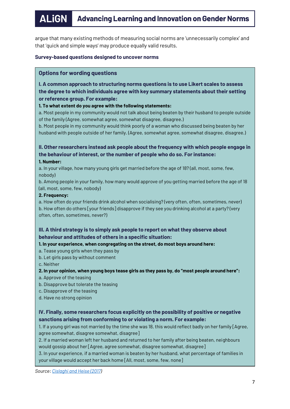argue that many existing methods of measuring social norms are 'unnecessarily complex' and that 'quick and simple ways' may produce equally valid results.

#### **Survey-based questions designed to uncover norms**

#### **Options for wording questions**

**I. A common approach to structuring norms questions is to use Likert scales to assess the degree to which individuals agree with key summary statements about their setting or reference group. For example:**

**1. To what extent do you agree with the following statements:**

a. Most people in my community would not talk about being beaten by their husband to people outside of the family (Agree, somewhat agree, somewhat disagree, disagree.)

b. Most people in my community would think poorly of a woman who discussed being beaten by her husband with people outside of her family. (Agree, somewhat agree, somewhat disagree, disagree.)

# **II. Other researchers instead ask people about the frequency with which people engage in the behaviour of interest, or the number of people who do so. For instance:**

#### **1. Number:**

a. In your village, how many young girls get married before the age of 18? (all, most, some, few, nobody)

b. Among people in your family, how many would approve of you getting married before the age of 18 (all, most, some, few, nobody)

#### **2. Frequency:**

a. How often do your friends drink alcohol when socialising? (very often, often, sometimes, never) b. How often do others [your friends] disapprove if they see you drinking alcohol at a party? (very often, often, sometimes, never?)

#### **III. A third strategy is to simply ask people to report on what they observe about behaviour and attitudes of others in a specific situation:**

#### **1. In your experience, when congregating on the street, do most boys around here:**

a. Tease young girls when they pass by

b. Let girls pass by without comment

c. Neither

- **2. In your opinion, when young boys tease girls as they pass by, do "most people around here":**
- a. Approve of the teasing
- b. Disapprove but tolerate the teasing
- c. Disapprove of the teasing
- d. Have no strong opinion

## **IV. Finally, some researchers focus explicitly on the possibility of positive or negative sanctions arising from conforming to or violating a norm. For example:**

1. If a young girl was not married by the time she was 18, this would reflect badly on her family [Agree, agree somewhat, disagree somewhat, disagree]

2. If a married woman left her husband and returned to her family after being beaten, neighbours would gossip about her [Agree, agree somewhat, disagree somewhat, disagree]

3. In your experience, if a married woman is beaten by her husband, what percentage of families in your village would accept her back home [All, most, some, few, none]

*Source: Cislaghi [and Heise](http://researchonline.lshtm.ac.uk/4646477/) (2017)*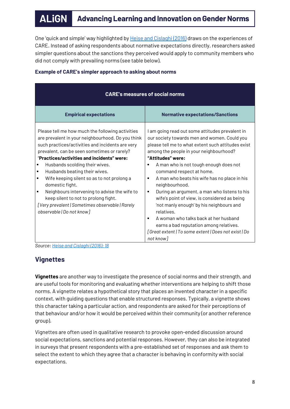One 'quick and simple' way highlighted by **[Heise and](http://researchonline.lshtm.ac.uk/4646486/1/Baltimore%20norms%20meeting%20report.pdf) Cislaghi (2016)** draws on the experiences of CARE. Instead of asking respondents about normative expectations directly, researchers asked simpler questions about the sanctions they perceived would apply to community members who did not comply with prevailing norms (see table below).

| <b>CARE's measures of social norms</b>                                                                                                                                                                                                                                                                                                                                                                                                                                                                                                                                            |                                                                                                                                                                                                                                                                                                                                                                                                                                                                                                                                                                                                                                                                                                 |  |  |
|-----------------------------------------------------------------------------------------------------------------------------------------------------------------------------------------------------------------------------------------------------------------------------------------------------------------------------------------------------------------------------------------------------------------------------------------------------------------------------------------------------------------------------------------------------------------------------------|-------------------------------------------------------------------------------------------------------------------------------------------------------------------------------------------------------------------------------------------------------------------------------------------------------------------------------------------------------------------------------------------------------------------------------------------------------------------------------------------------------------------------------------------------------------------------------------------------------------------------------------------------------------------------------------------------|--|--|
| <b>Empirical expectations</b>                                                                                                                                                                                                                                                                                                                                                                                                                                                                                                                                                     | <b>Normative expectations/Sanctions</b>                                                                                                                                                                                                                                                                                                                                                                                                                                                                                                                                                                                                                                                         |  |  |
| Please tell me how much the following activities<br>are prevalent in your neighbourhood. Do you think<br>such practices/activities and incidents are very<br>prevalent, can be seen sometimes or rarely?<br>"Practices/activities and incidents" were:<br>Husbands scolding their wives.<br>Husbands beating their wives.<br>٠<br>Wife keeping silent so as to not prolong a<br>٠<br>domestic fight.<br>Neighbours intervening to advise the wife to<br>٠<br>keep silent to not to prolong fight.<br>[Very prevalent   Sometimes observable   Rarely<br>observable   Do not know] | I am going read out some attitudes prevalent in<br>our society towards men and women. Could you<br>please tell me to what extent such attitudes exist<br>among the people in your neighbourhood?<br>"Attitudes" were:<br>A man who is not tough enough does not<br>command respect at home.<br>A man who beats his wife has no place in his<br>٠<br>neighbourhood.<br>During an argument, a man who listens to his<br>п<br>wife's point of view, is considered as being<br>'not manly enough' by his neighbours and<br>relatives.<br>A woman who talks back at her husband<br>٠<br>earns a bad reputation among relatives.<br>[Great extent   To some extent   Does not exist   Do<br>not know] |  |  |

## **Example of CARE's simpler approach to asking about norms**

*Source[: Heise and](http://researchonline.lshtm.ac.uk/4646486/1/Baltimore%20norms%20meeting%20report.pdf) Cislaghi (2016): 18*

# <span id="page-7-0"></span>**Vignettes**

**Vignettes** are another way to investigate the presence of social norms and their strength, and are useful tools for monitoring and evaluating whether interventions are helping to shift those norms. A vignette relates a hypothetical story that places an invented character in a specific context, with guiding questions that enable structured responses. Typically, a vignette shows this character taking a particular action, and respondents are asked for their perceptions of that behaviour and/or how it would be perceived within their community (or another reference group).

Vignettes are often used in qualitative research to provoke open-ended discussion around social expectations, sanctions and potential responses. However, they can also be integrated in surveys that present respondents with a pre-established set of responses and ask them to select the extent to which they agree that a character is behaving in conformity with social expectations.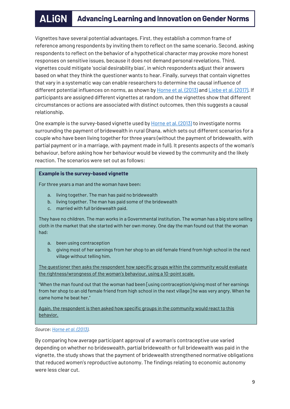Vignettes have several potential advantages. First, they establish a common frame of reference among respondents by inviting them to reflect on the same scenario. Second, asking respondents to reflect on the behavior of a hypothetical character may provoke more honest responses on sensitive issues, because it does not demand personal revelations. Third, vignettes could mitigate 'social desirability bias', in which respondents adjust their answers based on what they think the questioner wants to hear. Finally, surveys that contain vignettes that vary in a systematic way can enable researchers to determine the causal influence of different potential influences on norms, as shown by [Horne et al.](https://journals.sagepub.com/doi/10.1177/0003122413484923) (2013) and Liebe [et al. \(2017\).](https://journals.sagepub.com/doi/10.1177/0049124117729707) If participants are assigned different vignettes at random, and the vignettes show that different circumstances or actions are associated with distinct outcomes, then this suggests a causal relationship.

One example is the survey-based vignette used by **Horne et al.** (2013) to investigate norms surrounding the payment of bridewealth in rural Ghana, which sets out different scenarios for a couple who have been living together for three years (without the payment of bridewealth, with partial payment or in a marriage, with payment made in full). It presents aspects of the woman's behaviour, before asking how her behaviour would be viewed by the community and the likely reaction. The scenarios were set out as follows:

#### **Example is the survey-based vignette**

For three years a man and the woman have been:

- a. living together. The man has paid no bridewealth
- b. living together. The man has paid some of the bridewealth
- c. married with full bridewealth paid.

They have no children. The man works in a Governmental institution. The woman has a big store selling cloth in the market that she started with her own money. One day the man found out that the woman had:

- a. been using contraception
- b. giving most of her earnings from her shop to an old female friend from high school in the next village without telling him.

The questioner then asks the respondent how specific groups within the community would evaluate the rightness/wrongness of the woman's behaviour, using a 10-point scale.

"When the man found out that the woman had been [using contraception/giving most of her earnings from her shop to an old female friend from high school in the next village] he was very angry. When he came home he beat her."

Again, the respondent is then asked how specific groups in the community would react to this behavior.

*Source[: Horne](https://journals.sagepub.com/doi/10.1177/0003122413484923) et al. (2013).*

By comparing how average participant approval of a woman's contraceptive use varied depending on whether no brideswealth, partial bridewealth or full bridewealth was paid in the vignette, the study shows that the payment of bridewealth strengthened normative obligations that reduced women's reproductive autonomy. The findings relating to economic autonomy were less clear cut.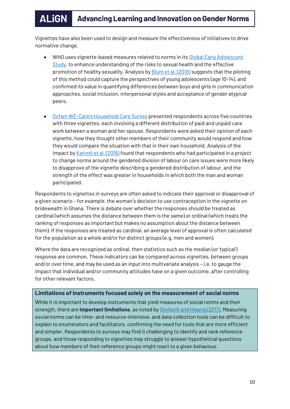Vignettes have also been used to design and measure the effectiveness of initiatives to drive normative change.

- WHO uses vignette-based measures related to norms in its Global Early Adolescent [Study,](https://www.who.int/reproductivehealth/publications/adolescence/geas-tool-kit/en/) to enhance understanding of the risks to sexual health and the effective promotion of healthy sexuality. Analysis b[y Blum et al. \(2018\)](https://static1.squarespace.com/static/54431bbee4b0ba652295db6e/t/5b476a2c03ce644f5f3569f2/1531406892857/GEAS_Vignettes_FINAL_website.compressed.pdf) suggests that the piloting of this method could capture the perspectives of young adolescents (age 10-14), and confirmed its value in quantifying differences between boys and girls in communication approaches, social inclusion, interpersonal styles and acceptance of gender atypical peers.
- Oxfam WE-[Care's Household Care Survey](https://www.alignplatform.org/resources/2018/06/factors-and-norms-influencing-unpaid-care-work-household-survey-evidence) presented respondents across five countries with three vignettes, each involving a different distribution of paid and unpaid care work between a woman and her spouse. Respondents were asked their opinion of each vignette, how they thought other members of their community would respond and how they would compare the situation with that in their own household. Analysis of the impact by Karimli [et al. \(2016\)](https://policy-practice.oxfam.org.uk/publications/factors-and-norms-influencing-unpaid-care-work-household-survey-evidence-from-f-620145) found that respondents who had participated in a project to change norms around the gendered division of labour on care issues were more likely to disapprove of the vignette describing a gendered distribution of labour, and the strength of the effect was greater in households in which both the man and woman participated.

Respondents to vignettes in surveys are often asked to indicate their approval or disapproval of a given scenario – for example, the woman's decision to use contraception in the vignette on bridewealth in Ghana. There is debate over whether the responses should be treated as cardinal (which assumes the distance between them is the same) or ordinal (which treats the ranking of responses as important but makes no assumption about the distance between them). If the responses are treated as cardinal, an average level of approval is often calculated for the population as a whole and/or for distinct groups (e.g. men and women).

Where the data are recognized as ordinal, then statistics such as the median (or 'typical') response are common. These indicators can be compared across vignettes, between groups and/or over time, and may be used as an input into multivariate analysis – i.e. to gauge the impact that individual and/or community attitudes have on a given outcome, after controlling for other relevant factors.

## <span id="page-9-0"></span>**Limitations of instruments focused solely on the measurement of social norms**

While it is important to develop instruments that yield measures of social norms and their strength, there are **important limitations**, as noted by [Stefanik and](http://gender.care2share.wikispaces.net/file/view/care-social-norms-paper-web.pdf) Hwang (2017). Measuring social norms can be time- and resource-intensive, and data collection tools can be difficult to explain to enumerators and facilitators, confirming the need for tools that are more efficient and simpler. Respondents to surveys may find it challenging to identify and rank reference groups, and those responding to vignettes may struggle to answer hypothetical questions about how members of their reference groups might react to a given behaviour.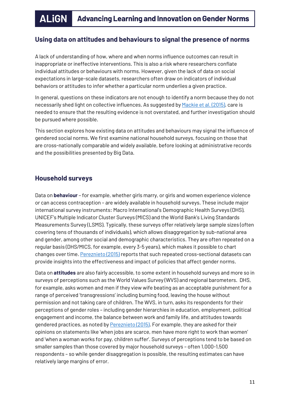# <span id="page-10-0"></span>**Using data on attitudes and behaviours to signal the presence of norms**

A lack of understanding of how, where and when norms influence outcomes can result in inappropriate or ineffective interventions. This is also a risk where researchers conflate individual attitudes or behaviours with norms. However, given the lack of data on social expectations in large-scale datasets, researchers often draw on indicators of individual behaviors or attitudes to infer whether a particular norm underlies a given practice.

In general, questions on these indicators are not enough to identify a norm because they do not necessarily shed light on collective influences. As suggested b[y Mackie et al. \(2015\),](https://www.unicef.org/protection/files/4_09_30_Whole_What_are_Social_Norms.pdf) care is needed to ensure that the resulting evidence is not overstated, and further investigation should be pursued where possible.

This section explores how existing data on attitudes and behaviours may signal the influence of gendered social norms. We first examine national household surveys, focusing on those that are cross-nationally comparable and widely available, before looking at administrative records and the possibilities presented by Big Data.

# <span id="page-10-1"></span>**Household surveys**

Data on **behaviour** – for example, whether girls marry, or girls and women experience violence or can access contraception – are widely available in household surveys. These include major international survey instruments: Macro International's Demographic Health Surveys (DHS), UNICEF's Multiple Indicator Cluster Surveys (MICS) and the World Bank's Living Standards Measurements Survey (LSMS). Typically, these surveys offer relatively large sample sizes (often covering tens of thousands of individuals), which allows disaggregation by sub-national area and gender, among other social and demographic characteristics. They are often repeated on a regular basis (DHS/MICS, for example, every 3-5 years), which makes it possible to chart changes over time[. Pereznieto \(2015\)](https://www.alignplatform.org/resources/2018/12/what-can-internationally-comparable-quantitative-data-tell-us-about-how-gender) reports that such repeated cross-sectional datasets can provide insights into the effectiveness and impact of policies that affect gender norms.

Data on **attitudes** are also fairly accessible, to some extent in household surveys and more so in surveys of perceptions such as the World Values Survey (WVS) and regional barometers. DHS, for example, asks women and men if they view wife beating as an acceptable punishment for a range of perceived 'transgressions' including burning food, leaving the house without permission and not taking care of children. The WVS, in turn, asks its respondents for their perceptions of gender roles – including gender hierarchies in education, employment, political engagement and income, the balance between work and family life, and attitudes towards gendered practices, as noted by [Pereznieto \(2015\).](https://www.alignplatform.org/resources/2018/12/what-can-internationally-comparable-quantitative-data-tell-us-about-how-gender) For example, they are asked for their opinions on statements like 'when jobs are scarce, men have more right to work than women' and 'when a woman works for pay, children suffer'. Surveys of perceptions tend to be based on smaller samples than those covered by major household surveys – often 1,000-1,500 respondents – so while gender disaggregation is possible, the resulting estimates can have relatively large margins of error.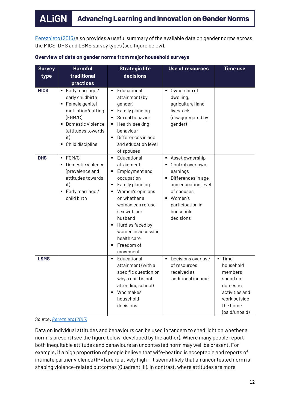[Pereznieto \(2015\)](https://www.alignplatform.org/resources/2018/12/what-can-internationally-comparable-quantitative-data-tell-us-about-how-gender) also provides a useful summary of the available data on gender norms across the MICS, DHS and LSMS survey types (see figure below).

| <b>Survey</b><br>type | <b>Harmful</b><br>traditional<br>practices                                                                                                                                               | <b>Strategic life</b><br>decisions                                                                                                                                                                                                                                               | <b>Use of resources</b>                                                                                                                                                                                           | <b>Time use</b>                                                                                                       |
|-----------------------|------------------------------------------------------------------------------------------------------------------------------------------------------------------------------------------|----------------------------------------------------------------------------------------------------------------------------------------------------------------------------------------------------------------------------------------------------------------------------------|-------------------------------------------------------------------------------------------------------------------------------------------------------------------------------------------------------------------|-----------------------------------------------------------------------------------------------------------------------|
| <b>MICS</b>           | • Early marriage /<br>early childbirth<br>• Female genital<br>mutilation/cutting<br>(FGM/C)<br>Domestic violence<br>$\blacksquare$<br>(attitudes towards<br>it)<br>Child discipline<br>٠ | Educational<br>attainment (by<br>gender)<br>Family planning<br>٠<br>Sexual behavior<br>■ Health-seeking<br>behaviour<br>Differences in age<br>٠<br>and education level<br>of spouses                                                                                             | • Ownership of<br>dwelling,<br>agricultural land,<br>livestock<br>(disaggregated by<br>gender)                                                                                                                    |                                                                                                                       |
| <b>DHS</b>            | FGM/C<br>$\blacksquare$<br>Domestic violence<br>٠<br>(prevalence and<br>attitudes towards<br>it)<br>Early marriage /<br>٠<br>child birth                                                 | Educational<br>$\blacksquare$<br>attainment<br>Employment and<br>٠<br>occupation<br>Family planning<br>٠<br>• Women's opinions<br>on whether a<br>woman can refuse<br>sex with her<br>husband<br>Hurdles faced by<br>women in accessing<br>health care<br>Freedom of<br>movement | Asset ownership<br>٠<br>Control over own<br>$\blacksquare$<br>earnings<br>Differences in age<br>٠<br>and education level<br>of spouses<br>Women's<br>$\blacksquare$<br>participation in<br>household<br>decisions |                                                                                                                       |
| <b>LSMS</b>           |                                                                                                                                                                                          | Educational<br>$\blacksquare$<br>attainment (with a<br>specific question on<br>why a child is not<br>attending school)<br>Who makes<br>household<br>decisions                                                                                                                    | Decisions over use<br>$\blacksquare$<br>of resources<br>received as<br>'additional income'                                                                                                                        | · Time<br>household<br>members<br>spend on<br>domestic<br>activities and<br>work outside<br>the home<br>(paid/unpaid) |

#### **Overview of data on gender norms from major household surveys**

*Source[: Pereznieto \(2015\)](https://www.alignplatform.org/resources/2018/12/what-can-internationally-comparable-quantitative-data-tell-us-about-how-gender)*

Data on individual attitudes and behaviours can be used in tandem to shed light on whether a norm is present (see the figure below, developed by the author). Where many people report both inequitable attitudes and behaviours an uncontested norm may well be present. For example, if a high proportion of people believe that wife-beating is acceptable and reports of intimate partner violence (IPV) are relatively high – it seems likely that an uncontested norm is shaping violence-related outcomes (Quadrant III). In contrast, where attitudes are more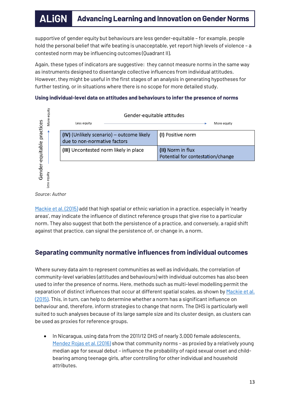supportive of gender equity but behaviours are less gender-equitable – for example, people hold the personal belief that wife beating is unacceptable, yet report high levels of violence – a contested norm may be influencing outcomes (Quadrant II).

Again, these types of indicators are suggestive: they cannot measure norms in the same way as instruments designed to disentangle collective influences from individual attitudes. However, they might be useful in the first stages of an analysis in generating hypotheses for further testing, or in situations where there is no scope for more detailed study.

## **Using individual-level data on attitudes and behaviours to infer the presence of norms**



*Source: Author*

[Mackie et al.](https://www.unicef.org/protection/files/4_09_30_Whole_What_are_Social_Norms.pdf) (2015) add that high spatial or ethnic variation in a practice, especially in 'nearby areas', may indicate the influence of distinct reference groups that give rise to a particular norm. They also suggest that both the persistence of a practice, and conversely, a rapid shift against that practice, can signal the persistence of, or change in, a norm.

# <span id="page-12-0"></span>**Separating community normative influences from individual outcomes**

Where survey data aim to represent communities as well as individuals, the correlation of community-level variables (attitudes and behaviours) with individual outcomes has also been used to infer the presence of norms. Here, methods such as multi-level modelling permit the separation of distinct influences that occur at different spatial scales, as shown by Mackie et al. [\(2015\).](https://www.unicef.org/protection/files/4_09_30_Whole_What_are_Social_Norms.pdf) This, in turn, can help to determine whether a norm has a significant influence on behaviour and, therefore, inform strategies to change that norm. The DHS is particularly well suited to such analyses because of its large sample size and its cluster design, as clusters can be used as proxies for reference groups.

• In Nicaragua, using data from the 2011/12 DHS of nearly 3,000 female adolescents, [Mendez Rojas](https://bmcpublichealth.biomedcentral.com/articles/10.1186/s12889-016-3666-9) et al. (2016) show that community norms - as proxied by a relatively young median age for sexual debut – influence the probability of rapid sexual onset and childbearing among teenage girls, after controlling for other individual and household attributes.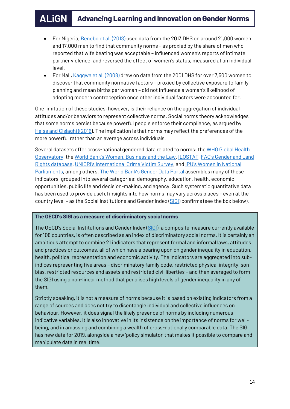- For Nigeria[, Benebo et al. \(2018\)](https://bmcwomenshealth.biomedcentral.com/articles/10.1186/s12905-018-0628-7) used data from the 2013 DHS on around 21,000 women and 17,000 men to find that community norms – as proxied by the share of men who reported that wife beating was acceptable – influenced women's reports of intimate partner violence, and reversed the effect of women's status, measured at an individual level.
- For Mali[, Kaggwa et al. \(2008\)](https://www.guttmacher.org/sites/default/files/pdfs/pubs/journals/3407908.pdf) drew on data from the 2001 DHS for over 7,500 women to discover that community normative factors – proxied by collective exposure to family planning and mean births per woman – did not influence a woman's likelihood of adopting modern contraception once other individual factors were accounted for.

One limitation of these studies, however, is their reliance on the aggregation of individual attitudes and/or behaviors to represent collective norms. Social norms theory acknowledges that some norms persist because powerful people enforce their compliance, as argued by [Heise and](http://researchonline.lshtm.ac.uk/4646486/1/Baltimore%20norms%20meeting%20report.pdf) Cislaghi ((2016). The implication is that norms may reflect the preferences of the more powerful rather than an average across individuals.

Several datasets offer cross-national gendered data related to norms: th[e WHO Global Health](https://www.who.int/gho/en/)  [Observatory,](https://www.who.int/gho/en/) the [World Bank's Women, Business and the Law](https://wbl.worldbank.org/), [ILOSTAT,](https://www.ilo.org/ilostat/faces/wcnav_defaultSelection?_afrLoop=1885699969559617&_afrWindowMode=0&_afrWindowId=xksk0qiz_1#!%40%40%3F_afrWindowId%3Dxksk0qiz_1%26_afrLoop%3D1885699969559617%26_afrWindowMode%3D0%26_adf.ctrl-state%3Dxksk0qiz_57) [FAO's Gender and Land](http://www.fao.org/gender-landrights-database/en/)  [Rights database,](http://www.fao.org/gender-landrights-database/en/) UNICRI's [International Crime Victim Survey,](http://www.unicri.it/services/library_documentation/publications/icvs/) and [IPU's Women in National](http://archive.ipu.org/wmn-e/world.htm)  [Parliaments,](http://archive.ipu.org/wmn-e/world.htm) among others. [The World Bank's Gender Data Portal](http://datatopics.worldbank.org/gender/) assembles many of these indicators, grouped into several categories: demography, education, health, economic opportunities, public life and decision-making, and agency. Such systematic quantitative data has been used to provide useful insights into how norms may vary across places – even at the country level - as the Social Institutions and Gender Index [\(SIGI\)](https://www.alignplatform.org/resources/2018/04/social-institutions-and-gender-index-sigi) confirms (see the box below).

#### **The OECD's SIGI as a measure of discriminatory social norms**

The OECD's Social Institutions and Gender Index [\(SIGI\)](https://www.alignplatform.org/resources/2018/04/social-institutions-and-gender-index-sigi), a composite measure currently available for 108 countries, is often described as an index of discriminatory social norms. It is certainly an ambitious attempt to combine 21 indicators that represent formal and informal laws, attitudes and practices or outcomes, all of which have a bearing upon on gender inequality in education, health, political representation and economic activity. The indicators are aggregated into subindices representing five areas – discriminatory family code, restricted physical integrity, son bias, restricted resources and assets and restricted civil liberties – and then averaged to form the SIGI using a non-linear method that penalises high levels of gender inequality in any of them.

<span id="page-13-0"></span>Strictly speaking, it is not a measure of norms because it is based on existing indicators from a range of sources and does not try to disentangle individual and collective influences on behaviour. However, it does signal the likely presence of norms by including numerous indicative variables. It is also innovative in its insistence on the importance of norms for wellbeing, and in amassing and combining a wealth of cross-nationally comparable data. The SIGI has new data for 2019, alongside a new 'policy simulator' that makes it possible to compare and manipulate data in real time.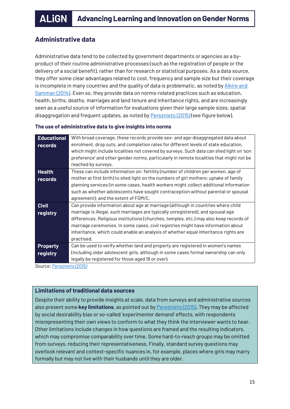# **Administrative data**

Administrative data tend to be collected by government departments or agencies as a byproduct of their routine administrative processes (such as the registration of people or the delivery of a social benefit), rather than for research or statistical purposes. As a data source, they offer some clear advantages related to cost, frequency and sample size but their coverage is incomplete in many countries and the quality of data is problematic, as noted by Alkire and [Samman](http://unsdsn.org/wp-content/uploads/2014/09/Mobilising-the-household-data-required-to-progress-toward-the-SDGs-WEB.pdf) (2014). Even so, they provide data on norms-related practices such as education, health, births, deaths, marriages and land tenure and inheritance rights, and are increasingly seen as a useful source of information for evaluations given their large sample sizes, spatial disaggregation and frequent updates, as noted by **Pereznieto** (2015) (see figure below).

#### **The use of administrative data to give insights into norms**

| <b>Educational</b> | With broad coverage, these records provide sex- and age-disaggregated data about        |
|--------------------|-----------------------------------------------------------------------------------------|
| records            | enrolment, drop outs, and completion rates for different levels of state education,     |
|                    | which might include localities not covered by surveys. Such data can shed light on 'son |
|                    | preference' and other gender norms, particularly in remote localities that might not be |
|                    | reached by surveys.                                                                     |
| <b>Health</b>      | These can include information on: fertility (number of children per women, age of       |
| records            | mother at first birth) to shed light on the numbers of girl mothers; uptake of family   |
|                    | planning services (in some cases, health workers might collect additional information   |
|                    | such as whether adolescents have sought contraception without parental or spousal       |
|                    | agreement); and the extent of FGM/C.                                                    |
| <b>Civil</b>       | Can provide information about age at marriage (although in countries where child        |
| registry           | marriage is illegal, such marriages are typically unregistered), and spousal age        |
|                    | differences. Religious institutions (churches, temples, etc.) may also keep records of  |
|                    | marriage ceremonies. In some cases, civil registries might have information about       |
|                    | inheritance, which could enable an analysis of whether equal inheritance rights are     |
|                    | practised.                                                                              |
| <b>Property</b>    | Can be used to verify whether land and property are registered in women's names         |
| registry           | (including older adolescent girls, although in some cases formal ownership can only     |
|                    | legally be registered for those aged 18 or over).                                       |

*Source[: Pereznieto \(2015\)](https://www.alignplatform.org/resources/2018/12/what-can-internationally-comparable-quantitative-data-tell-us-about-how-gender)*

## <span id="page-14-0"></span>**Limitations of traditional data sources**

Despite their ability to provide insights at scale, data from surveys and administrative sources also present some **key limitations**, as pointed out by [Pereznieto \(2015\).](https://www.alignplatform.org/resources/2018/12/what-can-internationally-comparable-quantitative-data-tell-us-about-how-gender) They may be affected by social desirability bias or so-called 'experimenter demand' effects, with respondents misrepresenting their own views to conform to what they think the interviewer wants to hear. Other limitations include changes in how questions are framed and the resulting indicators, which may compromise comparability over time. Some hard-to-reach groups may be omitted from surveys, reducing their representativeness. Finally, standard survey questions may overlook relevant and context-specific nuances in, for example, places where girls may marry formally but may not live with their husbands until they are older.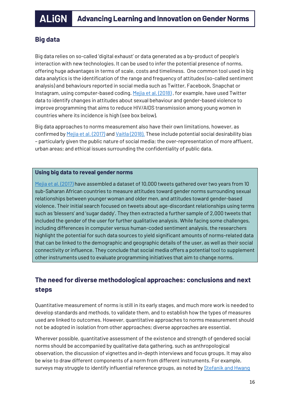# <span id="page-15-0"></span>**Big data**

Big data relies on so-called 'digital exhaust' or data generated as a by-product of people's interaction with new technologies. It can be used to infer the potential presence of norms, offering huge advantages in terms of scale, costs and timeliness. One common tool used in big data analytics is the identification of the range and frequency of attitudes (so-called sentiment analysis) and behaviours reported in social media such as Twitter, Facebook, Snapchat or Instagram, using computer-based coding[. Mejia et al. \(2018\)](https://www.slideshare.net/measureevaluation/big-data-analytics-for-measuring-gender-norms-too-big-to-ignore), for example, have used Twitter data to identify changes in attitudes about sexual behaviour and gender-based violence to improve programming that aims to reduce HIV/AIDS transmission among young women in countries where its incidence is high (see box below).

Big data approaches to norms measurement also have their own limitations, however, as confirmed b[y Mejia et al. \(2017\)](https://www.slideshare.net/measureevaluation/big-data-analytics-for-measuring-gender-norms-too-big-to-ignore) an[d Vaitla \(2018\).](https://www.alignplatform.org/resources/2018/12/can-big-data-measure-changes-gender-norms) These include potential social desirability bias – particularly given the public nature of social media; the over-representation of more affluent, urban areas; and ethical issues surrounding the confidentiality of public data.

## **Using big data to reveal gender norms**

[Mejia et al. \(2017\)](https://www.slideshare.net/measureevaluation/big-data-analytics-for-measuring-gender-norms-too-big-to-ignore) have assembled a dataset of 10,000 tweets gathered over two years from 10 sub-Saharan African countries to measure attitudes toward gender norms surrounding sexual relationships between younger woman and older men, and attitudes toward gender-based violence. Their initial search focused on tweets about age-discordant relationships using terms such as 'blessers' and 'sugar daddy'. They then extracted a further sample of 2,000 tweets that included the gender of the user for further qualitative analysis. While facing some challenges, including differences in computer versus human-coded sentiment analysis, the researchers highlight the potential for such data sources to yield significant amounts of norms-related data that can be linked to the demographic and geographic details of the user, as well as their social connectivity or influence. They conclude that social media offers a potential tool to supplement other instruments used to evaluate programming initiatives that aim to change norms.

# **The need for diverse methodological approaches: conclusions and next steps**

Quantitative measurement of norms is still in its early stages, and much more work is needed to develop standards and methods, to validate them, and to establish how the types of measures used are linked to outcomes. However, quantitative approaches to norms measurement should not be adopted in isolation from other approaches; diverse approaches are essential.

Wherever possible, quantitative assessment of the existence and strength of gendered social norms should be accompanied by qualitative data gathering, such as anthropological observation, the discussion of vignettes and in-depth interviews and focus groups. It may also be wise to draw different components of a norm from different instruments. For example, surveys may struggle to identify influential reference groups, as noted by Stefanik and Hwang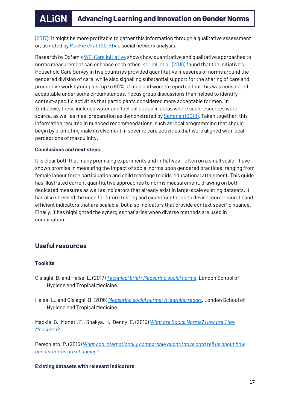[\(2017\):](http://gender.care2share.wikispaces.net/file/view/care-social-norms-paper-web.pdf) it might be more profitable to gather this information through a qualitative assessment or, as noted b[y Mackie et al. \(2015\)](https://www.unicef.org/protection/files/4_09_30_Whole_What_are_Social_Norms.pdf) via social network analysis.

Research by Oxfam's [WE-Care initiative](https://www.alignplatform.org/resources/2018/06/factors-and-norms-influencing-unpaid-care-work-household-survey-evidence) shows how quantitative and qualitative approaches to norms measurement can enhance each other. Karimli [et al. \(2016\)](https://policy-practice.oxfam.org.uk/publications/factors-and-norms-influencing-unpaid-care-work-household-survey-evidence-from-f-620145) found that the initiative's Household Care Survey in five countries provided quantitative measures of norms around the gendered division of care, while also signalling substantial support for the sharing of care and productive work by couples: up to 90% of men and women reported that this was considered acceptable under some circumstances. Focus group discussions then helped to identify context-specific activities that participants considered more acceptable for men. In Zimbabwe, these included water and fuel collection in areas where such resources were scarce, as well as meal preparation as demonstrated by **Samman (2018)**. Taken together, this information resulted in nuanced recommendations, such as local programming that should begin by promoting male involvement in specific care activities that were aligned with local perceptions of masculinity.

#### **Conclusions and next steps**

It is clear both that many promising experiments and initiatives – often on a small scale – have shown promise in measuring the impact of social norms upon gendered practices, ranging from female labour force participation and child marriage to girls' educational attainment. This guide has illustrated current quantitative approaches to norms measurement, drawing on both dedicated measures as well as indicators that already exist in large-scale existing datasets. It has also stressed the need for future testing and experimentation to devise more accurate and efficient indicators that are scalable, but also indicators that provide context specific nuance. Finally, it has highlighted the synergies that arise when diverse methods are used in combination.

# <span id="page-16-0"></span>**Useful resources**

## **Toolkits**

- Cislaghi, B. and Heise, L. (2017) *[Technical brief: Measuring social norms](http://researchonline.lshtm.ac.uk/4646477/)*. London School of Hygiene and Tropical Medicine.
- Heise, L., and Cislaghi, B. (2016) *[Measuring social norms: A learning report](http://researchonline.lshtm.ac.uk/4646486/1/Baltimore%20norms%20meeting%20report.pdf)*. London School of Hygiene and Tropical Medicine.

Mackie, G., Moneti, F., Shakya, H., Denny, E. (2015) *[What are Social Norms? How are They](https://www.unicef.org/protection/files/4_09_30_Whole_What_are_Social_Norms.pdf)  [Measured?](https://www.unicef.org/protection/files/4_09_30_Whole_What_are_Social_Norms.pdf)*

Pereznieto, P. (2015) *[What can internationally comparable quantitative data tell us about how](https://www.alignplatform.org/resources/2018/12/what-can-internationally-comparable-quantitative-data-tell-us-about-how-gender)  [gender norms are changing?](https://www.alignplatform.org/resources/2018/12/what-can-internationally-comparable-quantitative-data-tell-us-about-how-gender)*

**Existing datasets with relevant indicators**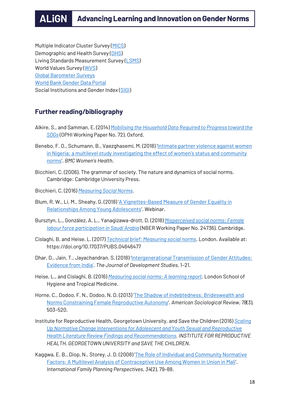Multiple Indicator Cluster Survey [\(MICS\)](http://mics.unicef.org/) Demographic and Health Survey [\(DHS\)](https://dhsprogram.com/data/) Living Standards Measurement Survey [\(LSMS\)](http://iresearch.worldbank.org/lsms/lsmssurveyFinder.htm) World Values Survey [\(WVS\)](http://www.worldvaluessurvey.org/wvs.jsp) [Global Barometer Surveys](https://www.globalbarometer.net/) [World Bank Gender Data Portal](http://datatopics.worldbank.org/gender/) Social Institutions and Gender Index [\(SIGI\)](https://www.genderindex.org/)

# **Further reading/bibliography**

- Alkire, S., and Samman, E. (2014) *[Mobilising the Household Data Required to Progress toward the](http://unsdsn.org/wp-content/uploads/2014/09/Mobilising-the-household-data-required-to-progress-toward-the-SDGs-WEB.pdf)  [SDGs](http://unsdsn.org/wp-content/uploads/2014/09/Mobilising-the-household-data-required-to-progress-toward-the-SDGs-WEB.pdf)* (OPHI Working Paper No. 72). Oxford.
- Benebo, F. O., Schumann, B., Vaezghasemi, M. (2018) '[Intimate partner violence against women](https://bmcwomenshealth.biomedcentral.com/articles/10.1186/s12905-018-0628-7)  [in Nigeria: a multilevel study investigating the effect of women's status and community](https://bmcwomenshealth.biomedcentral.com/articles/10.1186/s12905-018-0628-7) [norms](https://bmcwomenshealth.biomedcentral.com/articles/10.1186/s12905-018-0628-7)'. *BMC Women's Health*.
- Bicchieri, C. (2006). The grammar of society. The nature and dynamics of social norms. Cambridge: Cambridge University Press.
- Bicchieri, C. (2016) *[Measuring Social Norms](http://irh.org/wp-content/uploads/2016/09/Bicchieri_MeasuringSocialNorms.pdf)*.
- Blum, R. W., Li, M., Sheahy, G. (2018) '[A Vignettes-Based Measure of Gender Equality in](https://static1.squarespace.com/static/54431bbee4b0ba652295db6e/t/5b476a2c03ce644f5f3569f2/1531406892857/GEAS_Vignettes_FINAL_website.compressed.pdf)  [Relationships Among Young Adolescents](https://static1.squarespace.com/static/54431bbee4b0ba652295db6e/t/5b476a2c03ce644f5f3569f2/1531406892857/GEAS_Vignettes_FINAL_website.compressed.pdf)'. Webinar.
- Bursztyn, L., González, A. L., Yanagizawa-drott, D. (2018) *[Misperceived social norms: Female](https://www.nber.org/papers/w24736)  [labour force participation](https://www.nber.org/papers/w24736) in Saudi Arabia* (NBER Working Paper No. 24736). Cambridge.
- Cislaghi, B. and Heise, L. (2017) *[Technical brief: Measuring social norms](http://researchonline.lshtm.ac.uk/4646477/)*. London. Available at: https://doi.org/10.17037/PUBS.04646477
- Dhar, D., Jain, T., Jayachandran, S. (2018) '[Intergenerational Transmission of Gender Attitudes:](https://www.tandfonline.com/doi/full/10.1080/00220388.2018.1520214)  [Evidence from India](https://www.tandfonline.com/doi/full/10.1080/00220388.2018.1520214)'. *The Journal of Development Studies*, 1–21.
- Heise, L., and Cislaghi, B. (2016) *[Measuring social norms: A learning report](http://researchonline.lshtm.ac.uk/4646486/1/Baltimore%20norms%20meeting%20report.pdf)*. London School of Hygiene and Tropical Medicine.
- Horne, C., Dodoo, F. N., Dodoo, N. D. (2013) '[The Shadow of Indebtedness: Brideswealth and](https://journals.sagepub.com/doi/10.1177/0003122413484923)  [Norms Constraining Female Reproductive Autonomy](https://journals.sagepub.com/doi/10.1177/0003122413484923)'. *American Sociological Review*, *78*(3), 503–520.
- Institute for Reproductive Health, Georgetown University, and Save the Children (2016) *[Scaling](http://irh.org/resource-library/lit-review-scaling-up-aysrh-normative-change-interventions/)  [Up Normative Change Interventions for Adolescent and Youth Sexual and Reproductive](http://irh.org/resource-library/lit-review-scaling-up-aysrh-normative-change-interventions/)  [Health Literature Review Findings and Recommendations.](http://irh.org/resource-library/lit-review-scaling-up-aysrh-normative-change-interventions/) INSTITUTE FOR REPRODUCTIVE HEALTH, GEORGETOWN UNIVERSITY and SAVE THE CHILDREN*.
- Kaggwa, E. B., Diop, N., Storey, J. D. (2008) '[The Role of Individual and Community Normative](https://www.guttmacher.org/sites/default/files/pdfs/pubs/journals/3407908.pdf)  [Factors: A Multilevel Analysis of Contraceptive Use Among Women in Union in Mali](https://www.guttmacher.org/sites/default/files/pdfs/pubs/journals/3407908.pdf)'. *International Family Planning Perspectives*, *34*(2), 79–88.